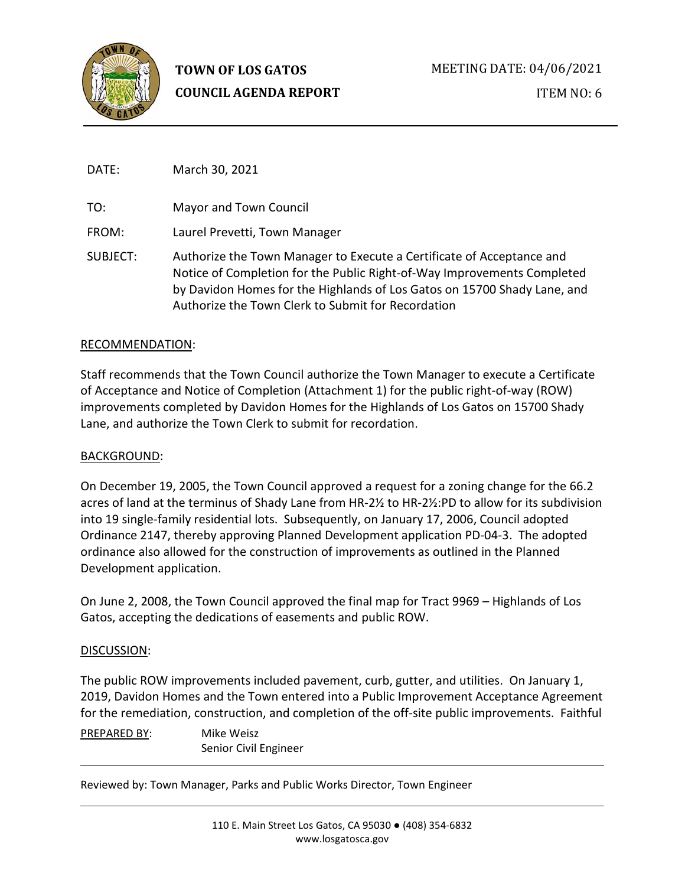

DATE: March 30, 2021

TO: Mayor and Town Council

FROM: Laurel Prevetti, Town Manager

SUBJECT: Authorize the Town Manager to Execute a Certificate of Acceptance and Notice of Completion for the Public Right-of-Way Improvements Completed by Davidon Homes for the Highlands of Los Gatos on 15700 Shady Lane, and Authorize the Town Clerk to Submit for Recordation

# RECOMMENDATION:

Staff recommends that the Town Council authorize the Town Manager to execute a Certificate of Acceptance and Notice of Completion (Attachment 1) for the public right-of-way (ROW) improvements completed by Davidon Homes for the Highlands of Los Gatos on 15700 Shady Lane, and authorize the Town Clerk to submit for recordation.

# BACKGROUND:

On December 19, 2005, the Town Council approved a request for a zoning change for the 66.2 acres of land at the terminus of Shady Lane from HR-2½ to HR-2½:PD to allow for its subdivision into 19 single-family residential lots. Subsequently, on January 17, 2006, Council adopted Ordinance 2147, thereby approving Planned Development application PD-04-3. The adopted ordinance also allowed for the construction of improvements as outlined in the Planned Development application.

On June 2, 2008, the Town Council approved the final map for Tract 9969 – Highlands of Los Gatos, accepting the dedications of easements and public ROW.

# DISCUSSION:

The public ROW improvements included pavement, curb, gutter, and utilities. On January 1, 2019, Davidon Homes and the Town entered into a Public Improvement Acceptance Agreement for the remediation, construction, and completion of the off-site public improvements. Faithful

PREPARED BY: Mike Weisz Senior Civil Engineer

Reviewed by: Town Manager, Parks and Public Works Director, Town Engineer